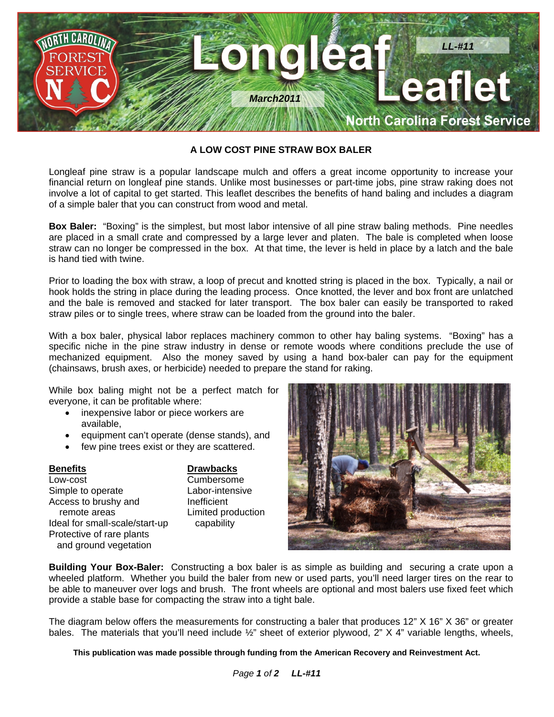

## **A LOW COST PINE STRAW BOX BALER**

Longleaf pine straw is a popular landscape mulch and offers a great income opportunity to increase your financial return on longleaf pine stands. Unlike most businesses or part-time jobs, pine straw raking does not involve a lot of capital to get started. This leaflet describes the benefits of hand baling and includes a diagram of a simple baler that you can construct from wood and metal.

**Box Baler:** "Boxing" is the simplest, but most labor intensive of all pine straw baling methods. Pine needles are placed in a small crate and compressed by a large lever and platen. The bale is completed when loose straw can no longer be compressed in the box. At that time, the lever is held in place by a latch and the bale is hand tied with twine.

Prior to loading the box with straw, a loop of precut and knotted string is placed in the box. Typically, a nail or hook holds the string in place during the leading process. Once knotted, the lever and box front are unlatched and the bale is removed and stacked for later transport. The box baler can easily be transported to raked straw piles or to single trees, where straw can be loaded from the ground into the baler.

With a box baler, physical labor replaces machinery common to other hay baling systems. "Boxing" has a specific niche in the pine straw industry in dense or remote woods where conditions preclude the use of mechanized equipment. Also the money saved by using a hand box-baler can pay for the equipment (chainsaws, brush axes, or herbicide) needed to prepare the stand for raking.

While box baling might not be a perfect match for everyone, it can be profitable where:

- inexpensive labor or piece workers are available,
- equipment can't operate (dense stands), and
- few pine trees exist or they are scattered.

**Benefits** Drawbacks Low-cost Cumbersome Simple to operate **Labor-intensive** Access to brushy and **Inefficient** remote areas **Limited production** Ideal for small-scale/start-up capability Protective of rare plants and ground vegetation



**Building Your Box-Baler:** Constructing a box baler is as simple as building and securing a crate upon a wheeled platform. Whether you build the baler from new or used parts, you'll need larger tires on the rear to be able to maneuver over logs and brush. The front wheels are optional and most balers use fixed feet which provide a stable base for compacting the straw into a tight bale.

The diagram below offers the measurements for constructing a baler that produces 12" X 16" X 36" or greater bales. The materials that you'll need include ½" sheet of exterior plywood, 2" X 4" variable lengths, wheels,

**This publication was made possible through funding from the American Recovery and Reinvestment Act.**